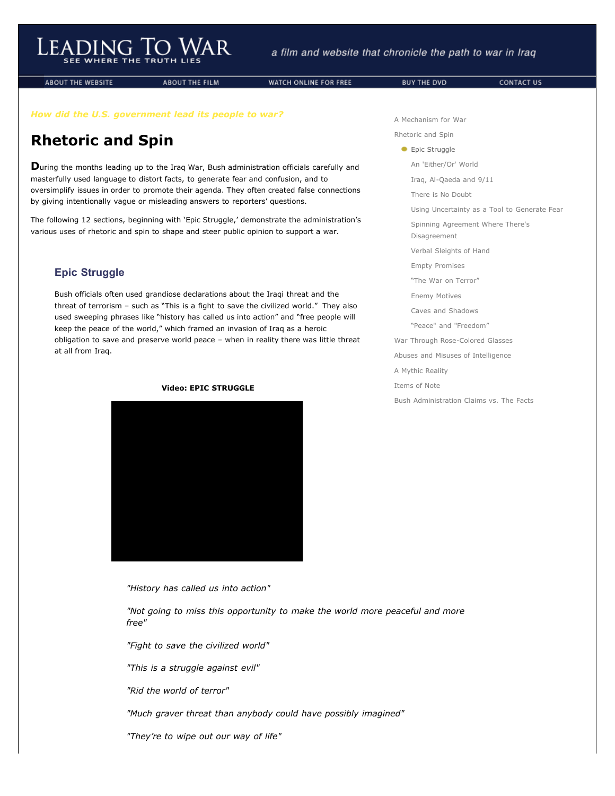**ABOUT THE WEBSITE** 

**ABOUT THE FILM** 

WATCH ONLINE FOR FREE

BUY THE DVD

CONTACT US

*How did the U.S. government lead its people to war?*

## **Rhetoric and Spin**

**D**uring the months leading up to the Iraq War, Bush administration officials carefully and masterfully used language to distort facts, to generate fear and confusion, and to oversimplify issues in order to promote their agenda. They often created false connections by giving intentionally vague or misleading answers to reporters' questions.

The following 12 sections, beginning with 'Epic Struggle,' demonstrate the administration's various uses of rhetoric and spin to shape and steer public opinion to support a war.

## **Epic Struggle**

Bush officials often used grandiose declarations about the Iraqi threat and the threat of terrorism – such as "This is a fight to save the civilized world." They also used sweeping phrases like "history has called us into action" and "free people will keep the peace of the world," which framed an invasion of Iraq as a heroic obligation to save and preserve world peace – when in reality there was little threat at all from Iraq.



## **Video: EPIC STRUGGLE**

*"History has called us into action"*

*"Not going to miss this opportunity to make the world more peaceful and more free"*

*"Fight to save the civilized world"*

*"This is a struggle against evil"*

*"Rid the world of terror"*

*"Much graver threat than anybody could have possibly imagined"*

*"They're to wipe out our way of life"*

[A Mechanism for War](http://www.leadingtowar.com/mechanism_war.php) [Rhetoric and Spin](http://www.leadingtowar.com/rhetoric_spin.php) **Epic Struggle** [An 'Either/Or' World](http://www.leadingtowar.com/rhetoric_spin_eitheror_world.php) [Iraq, Al-Qaeda and 9/11](http://www.leadingtowar.com/rhetoric_spin_iraq.php) [There is No Doubt](http://www.leadingtowar.com/rhetoric_spin_nodoubt.php) [Using Uncertainty as a Tool to Generate Fear](http://www.leadingtowar.com/rhetoric_spin_uncertainty.php) [Spinning Agreement Where There's](http://www.leadingtowar.com/rhetoric_spin_spinning.php) Disagreement [Verbal Sleights of Hand](http://www.leadingtowar.com/rhetoric_spin_sleights.php) [Empty Promises](http://www.leadingtowar.com/rhetoric_spin_emptypromises.php) ["The War on Terror"](http://www.leadingtowar.com/rhetoric_spin_waronterror.php) [Enemy Motives](http://www.leadingtowar.com/rhetoric_spin_enemymotives.php) [Caves and Shadows](http://www.leadingtowar.com/rhetoric_spin_caves.php) ["Peace" and "Freedom"](http://www.leadingtowar.com/rhetoric_spin_peace.php) [War Through Rose-Colored Glasses](http://www.leadingtowar.com/war_rosecolored.php) [Abuses and Misuses of Intelligence](http://www.leadingtowar.com/abuses_misuses.php) [A Mythic Reality](http://www.leadingtowar.com/mythic_reality.php) [Items of Note](http://www.leadingtowar.com/items_note.php) [Bush Administration Claims vs. The Facts](http://www.leadingtowar.com/claims_facts.php)